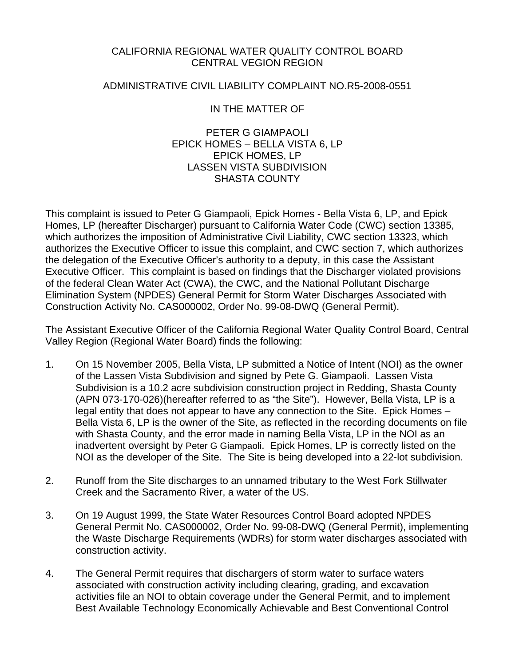### CALIFORNIA REGIONAL WATER QUALITY CONTROL BOARD CENTRAL VEGION REGION

#### ADMINISTRATIVE CIVIL LIABILITY COMPLAINT NO.R5-2008-0551

# IN THE MATTER OF

PETER G GIAMPAOLI EPICK HOMES – BELLA VISTA 6, LP EPICK HOMES, LP LASSEN VISTA SUBDIVISION SHASTA COUNTY

This complaint is issued to Peter G Giampaoli, Epick Homes - Bella Vista 6, LP, and Epick Homes, LP (hereafter Discharger) pursuant to California Water Code (CWC) section 13385, which authorizes the imposition of Administrative Civil Liability, CWC section 13323, which authorizes the Executive Officer to issue this complaint, and CWC section 7, which authorizes the delegation of the Executive Officer's authority to a deputy, in this case the Assistant Executive Officer. This complaint is based on findings that the Discharger violated provisions of the federal Clean Water Act (CWA), the CWC, and the National Pollutant Discharge Elimination System (NPDES) General Permit for Storm Water Discharges Associated with Construction Activity No. CAS000002, Order No. 99-08-DWQ (General Permit).

The Assistant Executive Officer of the California Regional Water Quality Control Board, Central Valley Region (Regional Water Board) finds the following:

- 1. On 15 November 2005, Bella Vista, LP submitted a Notice of Intent (NOI) as the owner of the Lassen Vista Subdivision and signed by Pete G. Giampaoli. Lassen Vista Subdivision is a 10.2 acre subdivision construction project in Redding, Shasta County (APN 073-170-026)(hereafter referred to as "the Site"). However, Bella Vista, LP is a legal entity that does not appear to have any connection to the Site. Epick Homes – Bella Vista 6, LP is the owner of the Site, as reflected in the recording documents on file with Shasta County, and the error made in naming Bella Vista, LP in the NOI as an inadvertent oversight by Peter G Giampaoli. Epick Homes, LP is correctly listed on the NOI as the developer of the Site. The Site is being developed into a 22-lot subdivision.
- 2. Runoff from the Site discharges to an unnamed tributary to the West Fork Stillwater Creek and the Sacramento River, a water of the US.
- 3. On 19 August 1999, the State Water Resources Control Board adopted NPDES General Permit No. CAS000002, Order No. 99-08-DWQ (General Permit), implementing the Waste Discharge Requirements (WDRs) for storm water discharges associated with construction activity.
- 4. The General Permit requires that dischargers of storm water to surface waters associated with construction activity including clearing, grading, and excavation activities file an NOI to obtain coverage under the General Permit, and to implement Best Available Technology Economically Achievable and Best Conventional Control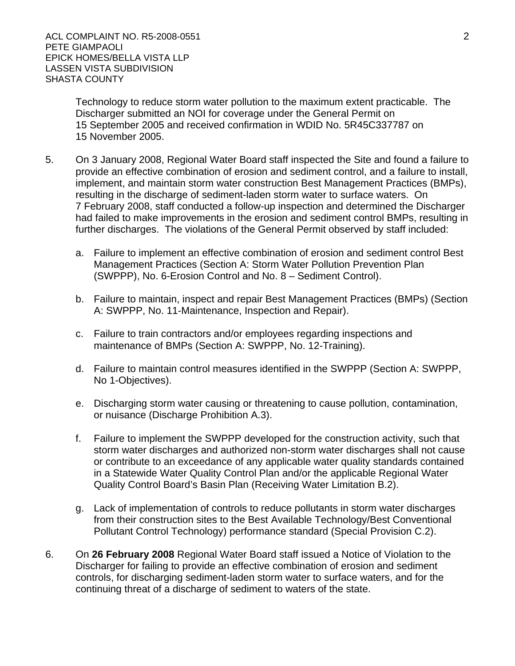Technology to reduce storm water pollution to the maximum extent practicable. The Discharger submitted an NOI for coverage under the General Permit on 15 September 2005 and received confirmation in WDID No. 5R45C337787 on 15 November 2005.

- 5. On 3 January 2008, Regional Water Board staff inspected the Site and found a failure to provide an effective combination of erosion and sediment control, and a failure to install, implement, and maintain storm water construction Best Management Practices (BMPs), resulting in the discharge of sediment-laden storm water to surface waters. On 7 February 2008, staff conducted a follow-up inspection and determined the Discharger had failed to make improvements in the erosion and sediment control BMPs, resulting in further discharges. The violations of the General Permit observed by staff included:
	- a. Failure to implement an effective combination of erosion and sediment control Best Management Practices (Section A: Storm Water Pollution Prevention Plan (SWPPP), No. 6-Erosion Control and No. 8 – Sediment Control).
	- b. Failure to maintain, inspect and repair Best Management Practices (BMPs) (Section A: SWPPP, No. 11-Maintenance, Inspection and Repair).
	- c. Failure to train contractors and/or employees regarding inspections and maintenance of BMPs (Section A: SWPPP, No. 12-Training).
	- d. Failure to maintain control measures identified in the SWPPP (Section A: SWPPP, No 1-Objectives).
	- e. Discharging storm water causing or threatening to cause pollution, contamination, or nuisance (Discharge Prohibition A.3).
	- f. Failure to implement the SWPPP developed for the construction activity, such that storm water discharges and authorized non-storm water discharges shall not cause or contribute to an exceedance of any applicable water quality standards contained in a Statewide Water Quality Control Plan and/or the applicable Regional Water Quality Control Board's Basin Plan (Receiving Water Limitation B.2).
	- g. Lack of implementation of controls to reduce pollutants in storm water discharges from their construction sites to the Best Available Technology/Best Conventional Pollutant Control Technology) performance standard (Special Provision C.2).
- 6. On **26 February 2008** Regional Water Board staff issued a Notice of Violation to the Discharger for failing to provide an effective combination of erosion and sediment controls, for discharging sediment-laden storm water to surface waters, and for the continuing threat of a discharge of sediment to waters of the state.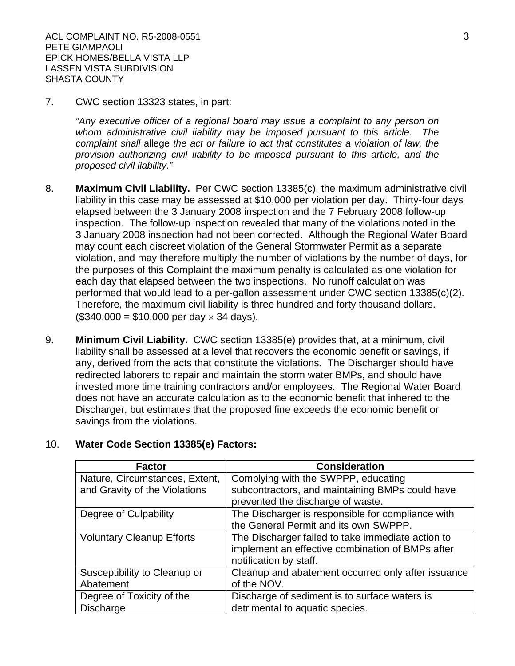7. CWC section 13323 states, in part:

*"Any executive officer of a regional board may issue a complaint to any person on whom administrative civil liability may be imposed pursuant to this article. The complaint shall* allege *the act or failure to act that constitutes a violation of law, the provision authorizing civil liability to be imposed pursuant to this article, and the proposed civil liability."*

- 8. **Maximum Civil Liability.** Per CWC section 13385(c), the maximum administrative civil liability in this case may be assessed at \$10,000 per violation per day. Thirty-four days elapsed between the 3 January 2008 inspection and the 7 February 2008 follow-up inspection. The follow-up inspection revealed that many of the violations noted in the 3 January 2008 inspection had not been corrected. Although the Regional Water Board may count each discreet violation of the General Stormwater Permit as a separate violation, and may therefore multiply the number of violations by the number of days, for the purposes of this Complaint the maximum penalty is calculated as one violation for each day that elapsed between the two inspections. No runoff calculation was performed that would lead to a per-gallon assessment under CWC section 13385(c)(2). Therefore, the maximum civil liability is three hundred and forty thousand dollars.  $($340,000 = $10,000$  per day  $\times$  34 days).
- 9. **Minimum Civil Liability.** CWC section 13385(e) provides that, at a minimum, civil liability shall be assessed at a level that recovers the economic benefit or savings, if any, derived from the acts that constitute the violations. The Discharger should have redirected laborers to repair and maintain the storm water BMPs, and should have invested more time training contractors and/or employees. The Regional Water Board does not have an accurate calculation as to the economic benefit that inhered to the Discharger, but estimates that the proposed fine exceeds the economic benefit or savings from the violations.

#### 10. **Water Code Section 13385(e) Factors:**

| <b>Factor</b>                    | <b>Consideration</b>                               |
|----------------------------------|----------------------------------------------------|
| Nature, Circumstances, Extent,   | Complying with the SWPPP, educating                |
| and Gravity of the Violations    | subcontractors, and maintaining BMPs could have    |
|                                  | prevented the discharge of waste.                  |
| Degree of Culpability            | The Discharger is responsible for compliance with  |
|                                  | the General Permit and its own SWPPP.              |
| <b>Voluntary Cleanup Efforts</b> | The Discharger failed to take immediate action to  |
|                                  | implement an effective combination of BMPs after   |
|                                  | notification by staff.                             |
| Susceptibility to Cleanup or     | Cleanup and abatement occurred only after issuance |
| Abatement                        | of the NOV.                                        |
| Degree of Toxicity of the        | Discharge of sediment is to surface waters is      |
| <b>Discharge</b>                 | detrimental to aquatic species.                    |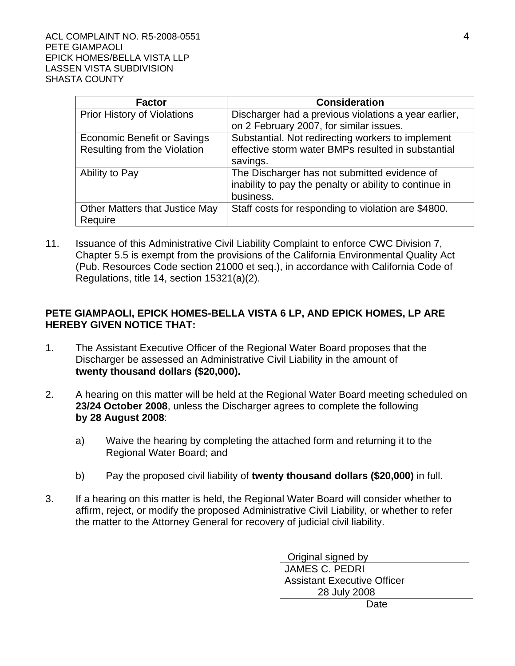| <b>Factor</b>                      | <b>Consideration</b>                                   |
|------------------------------------|--------------------------------------------------------|
| <b>Prior History of Violations</b> | Discharger had a previous violations a year earlier,   |
|                                    | on 2 February 2007, for similar issues.                |
| <b>Economic Benefit or Savings</b> | Substantial. Not redirecting workers to implement      |
| Resulting from the Violation       | effective storm water BMPs resulted in substantial     |
|                                    | savings.                                               |
| Ability to Pay                     | The Discharger has not submitted evidence of           |
|                                    | inability to pay the penalty or ability to continue in |
|                                    | business.                                              |
| Other Matters that Justice May     | Staff costs for responding to violation are \$4800.    |
| Require                            |                                                        |

11. Issuance of this Administrative Civil Liability Complaint to enforce CWC Division 7, Chapter 5.5 is exempt from the provisions of the California Environmental Quality Act (Pub. Resources Code section 21000 et seq.), in accordance with California Code of Regulations, title 14, section 15321(a)(2).

# **PETE GIAMPAOLI, EPICK HOMES-BELLA VISTA 6 LP, AND EPICK HOMES, LP ARE HEREBY GIVEN NOTICE THAT:**

- 1. The Assistant Executive Officer of the Regional Water Board proposes that the Discharger be assessed an Administrative Civil Liability in the amount of **twenty thousand dollars (\$20,000).**
- 2. A hearing on this matter will be held at the Regional Water Board meeting scheduled on **23/24 October 2008**, unless the Discharger agrees to complete the following **by 28 August 2008**:
	- a) Waive the hearing by completing the attached form and returning it to the Regional Water Board; and
	- b) Pay the proposed civil liability of **twenty thousand dollars (\$20,000)** in full.
- 3. If a hearing on this matter is held, the Regional Water Board will consider whether to affirm, reject, or modify the proposed Administrative Civil Liability, or whether to refer the matter to the Attorney General for recovery of judicial civil liability.

 Original signed by JAMES C. PEDRI Assistant Executive Officer 28 July 2008

Date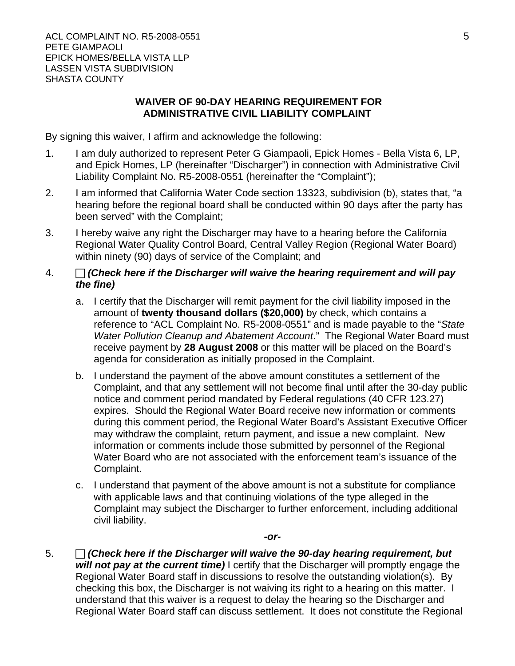# **WAIVER OF 90-DAY HEARING REQUIREMENT FOR ADMINISTRATIVE CIVIL LIABILITY COMPLAINT**

By signing this waiver, I affirm and acknowledge the following:

- 1. I am duly authorized to represent Peter G Giampaoli, Epick Homes Bella Vista 6, LP, and Epick Homes, LP (hereinafter "Discharger") in connection with Administrative Civil Liability Complaint No. R5-2008-0551 (hereinafter the "Complaint");
- 2. I am informed that California Water Code section 13323, subdivision (b), states that, "a hearing before the regional board shall be conducted within 90 days after the party has been served" with the Complaint;
- 3. I hereby waive any right the Discharger may have to a hearing before the California Regional Water Quality Control Board, Central Valley Region (Regional Water Board) within ninety (90) days of service of the Complaint; and

# 4.  $\Box$  *(Check here if the Discharger will waive the hearing requirement and will pay the fine)*

- a. I certify that the Discharger will remit payment for the civil liability imposed in the amount of **twenty thousand dollars (\$20,000)** by check, which contains a reference to "ACL Complaint No. R5-2008-0551" and is made payable to the "*State Water Pollution Cleanup and Abatement Account*." The Regional Water Board must receive payment by **28 August 2008** or this matter will be placed on the Board's agenda for consideration as initially proposed in the Complaint.
- b. I understand the payment of the above amount constitutes a settlement of the Complaint, and that any settlement will not become final until after the 30-day public notice and comment period mandated by Federal regulations (40 CFR 123.27) expires. Should the Regional Water Board receive new information or comments during this comment period, the Regional Water Board's Assistant Executive Officer may withdraw the complaint, return payment, and issue a new complaint. New information or comments include those submitted by personnel of the Regional Water Board who are not associated with the enforcement team's issuance of the Complaint.
- c. I understand that payment of the above amount is not a substitute for compliance with applicable laws and that continuing violations of the type alleged in the Complaint may subject the Discharger to further enforcement, including additional civil liability.

*-or-*

5.  $\Box$  *(Check here if the Discharger will waive the 90-day hearing requirement, but will not pay at the current time)* I certify that the Discharger will promptly engage the Regional Water Board staff in discussions to resolve the outstanding violation(s). By checking this box, the Discharger is not waiving its right to a hearing on this matter. I understand that this waiver is a request to delay the hearing so the Discharger and Regional Water Board staff can discuss settlement. It does not constitute the Regional